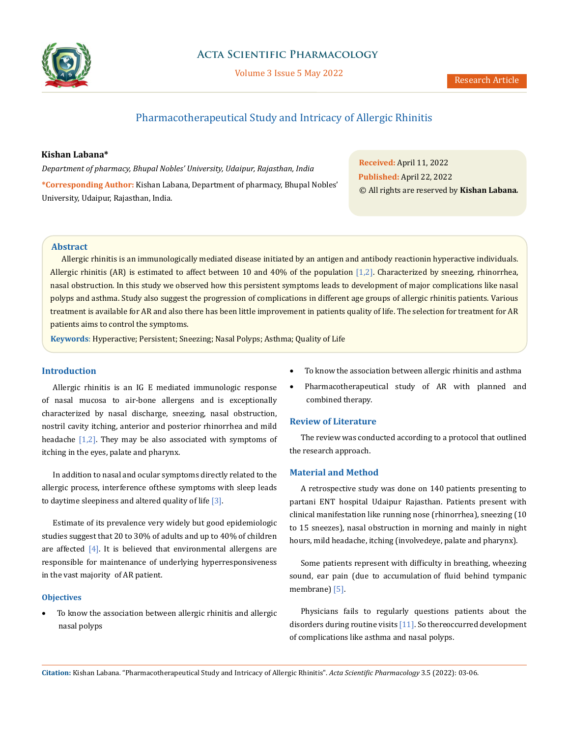

# **Acta Scientific Pharmacology**

Volume 3 Issue 5 May 2022

# Pharmacotherapeutical Study and Intricacy of Allergic Rhinitis

#### **Kishan Labana\***

*Department of pharmacy, Bhupal Nobles' University, Udaipur, Rajasthan, India* **\*Corresponding Author:** Kishan Labana, Department of pharmacy, Bhupal Nobles' University, Udaipur, Rajasthan, India.

**Received:** April 11, 2022 **Published:** April 22, 2022 © All rights are reserved by **Kishan Labana***.*

### **Abstract**

Allergic rhinitis is an immunologically mediated disease initiated by an antigen and antibody reactionin hyperactive individuals. Allergic rhinitis (AR) is estimated to affect between 10 and 40% of the population [1,2]. Characterized by sneezing, rhinorrhea, nasal obstruction. In this study we observed how this persistent symptoms leads to development of major complications like nasal polyps and asthma. Study also suggest the progression of complications in different age groups of allergic rhinitis patients. Various treatment is available for AR and also there has been little improvement in patients quality of life. The selection for treatment for AR patients aims to control the symptoms.

**Keywords**: Hyperactive; Persistent; Sneezing; Nasal Polyps; Asthma; Quality of Life

#### **Introduction**

Allergic rhinitis is an IG E mediated immunologic response of nasal mucosa to air-bone allergens and is exceptionally characterized by nasal discharge, sneezing, nasal obstruction, nostril cavity itching, anterior and posterior rhinorrhea and mild headache  $[1,2]$ . They may be also associated with symptoms of itching in the eyes, palate and pharynx.

In addition to nasal and ocular symptoms directly related to the allergic process, interference of these symptoms with sleep leads to daytime sleepiness and altered quality of life  $[3]$ .

Estimate of its prevalence very widely but good epidemiologic studies suggest that 20 to 30% of adults and up to 40% of children are affected [4]. It is believed that environmental allergens are responsible for maintenance of underlying hyperresponsiveness in the vast majority of AR patient.

#### **Objectives**

To know the association between allergic rhinitis and allergic nasal polyps

- To know the association between allergic rhinitis and asthma
- Pharmacotherapeutical study of AR with planned and combined therapy.

#### **Review of Literature**

The review was conducted according to a protocol that outlined the research approach.

#### **Material and Method**

A retrospective study was done on 140 patients presenting to partani ENT hospital Udaipur Rajasthan. Patients present with clinical manifestation like running nose (rhinorrhea), sneezing (10 to 15 sneezes), nasal obstruction in morning and mainly in night hours, mild headache, itching (involvedeye, palate and pharynx).

Some patients represent with difficulty in breathing, wheezing sound, ear pain (due to accumulation of fluid behind tympanic membrane) [5].

Physicians fails to regularly questions patients about the disorders during routine visits  $[11]$ . So there occurred development of complications like asthma and nasal polyps.

**Citation:** Kishan Labana*.* "Pharmacotherapeutical Study and Intricacy of Allergic Rhinitis". *Acta Scientific Pharmacology* 3.5 (2022): 03-06.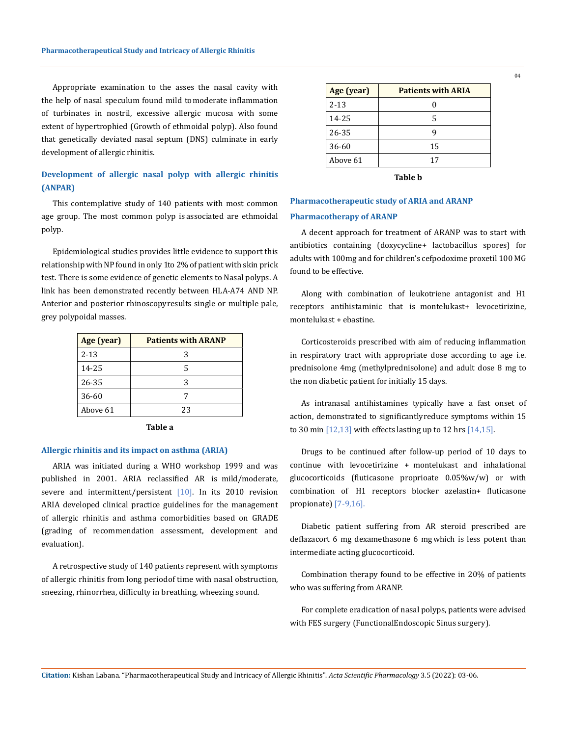Appropriate examination to the asses the nasal cavity with the help of nasal speculum found mild to moderate inflammation of turbinates in nostril, excessive allergic mucosa with some extent of hypertrophied (Growth of ethmoidal polyp). Also found that genetically deviated nasal septum (DNS) culminate in early development of allergic rhinitis.

# **Development of allergic nasal polyp with allergic rhinitis (ANPAR)**

This contemplative study of 140 patients with most common age group. The most common polyp is associated are ethmoidal polyp.

Epidemiological studies provides little evidence to support this relationship with NP found in only 1to 2% of patient with skin prick test. There is some evidence of genetic elements to Nasal polyps. A link has been demonstrated recently between HLA-A74 AND NP. Anterior and posterior rhinoscopy results single or multiple pale, grey polypoidal masses.

| Age (year) | <b>Patients with ARANP</b> |
|------------|----------------------------|
| $2 - 13$   | 3                          |
| 14-25      | 5                          |
| 26-35      | 3                          |
| 36-60      |                            |
| Above 61   | 23                         |

**Table a**

#### **Allergic rhinitis and its impact on asthma (ARIA)**

ARIA was initiated during a WHO workshop 1999 and was published in 2001. ARIA reclassified AR is mild/moderate, severe and intermittent/persistent [10]. In its 2010 revision ARIA developed clinical practice guidelines for the management of allergic rhinitis and asthma comorbidities based on GRADE (grading of recommendation assessment, development and evaluation).

A retrospective study of 140 patients represent with symptoms of allergic rhinitis from long period of time with nasal obstruction, sneezing, rhinorrhea, difficulty in breathing, wheezing sound.

| Age (year) | <b>Patients with ARIA</b> |
|------------|---------------------------|
| $2 - 13$   |                           |
| 14-25      | 5                         |
| 26-35      | g                         |
| 36-60      | 15                        |
| Above 61   | 17                        |

**Table b**

# **Pharmacotherapeutic study of ARIA and ARANP Pharmacotherapy of ARANP**

A decent approach for treatment of ARANP was to start with antibiotics containing (doxycycline+ lactobacillus spores) for adults with 100mg and for children's cefpodoxime proxetil 100 MG found to be effective.

Along with combination of leukotriene antagonist and H1 receptors antihistaminic that is montelukast+ levocetirizine, montelukast + ebastine.

Corticosteroids prescribed with aim of reducing inflammation in respiratory tract with appropriate dose according to age i.e. prednisolone 4mg (methylprednisolone) and adult dose 8 mg to the non diabetic patient for initially 15 days.

As intranasal antihistamines typically have a fast onset of action, demonstrated to significantly reduce symptoms within 15 to 30 min  $[12,13]$  with effects lasting up to 12 hrs  $[14,15]$ .

Drugs to be continued after follow-up period of 10 days to continue with levocetirizine + montelukast and inhalational glucocorticoids (fluticasone proprioate 0.05%w/w) or with combination of H1 receptors blocker azelastin+ fluticasone propionate) [7-9,16].

Diabetic patient suffering from AR steroid prescribed are deflazacort 6 mg dexamethasone 6 mg which is less potent than intermediate acting glucocorticoid.

Combination therapy found to be effective in 20% of patients who was suffering from ARANP.

For complete eradication of nasal polyps, patients were advised with FES surgery (Functional Endoscopic Sinus surgery).

**Citation:** Kishan Labana*.* "Pharmacotherapeutical Study and Intricacy of Allergic Rhinitis". *Acta Scientific Pharmacology* 3.5 (2022): 03-06.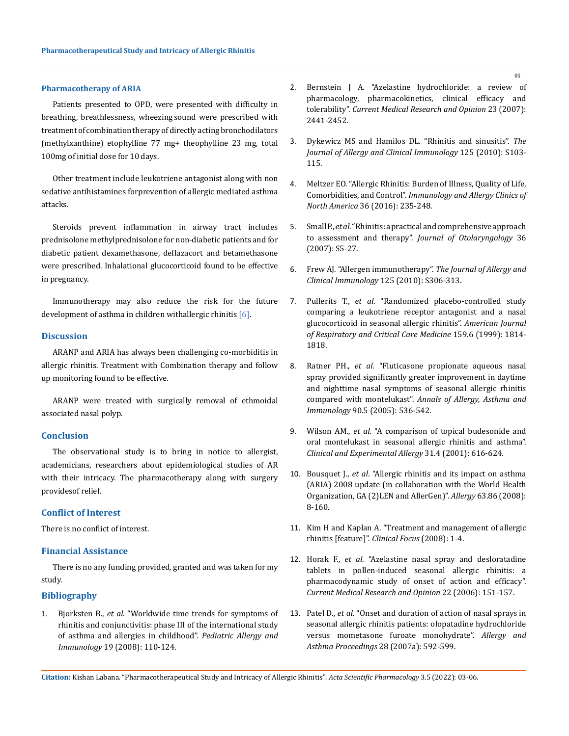#### **Pharmacotherapy of ARIA**

Patients presented to OPD, were presented with difficulty in breathing, breathlessness, wheezing sound were prescribed with treatment of combination therapy of directly acting bronchodilators (methylxanthine) etophylline 77 mg+ theophylline 23 mg, total 100mg of initial dose for 10 days.

Other treatment include leukotriene antagonist along with non sedative antihistamines forprevention of allergic mediated asthma attacks.

Steroids prevent inflammation in airway tract includes prednisolone methylprednisolone for non- diabetic patients and for diabetic patient dexamethasone, deflazacort and betamethasone were prescribed. Inhalational glucocorticoid found to be effective in pregnancy.

Immunotherapy may also reduce the risk for the future development of asthma in children with allergic rhinitis  $[6]$ .

## **Discussion**

ARANP and ARIA has always been challenging co-morbiditis in allergic rhinitis. Treatment with Combination therapy and follow up monitoring found to be effective.

ARANP were treated with surgically removal of ethmoidal associated nasal polyp.

#### **Conclusion**

The observational study is to bring in notice to allergist, academicians, researchers about epidemiological studies of AR with their intricacy. The pharmacotherapy along with surgery provides of relief.

#### **Conflict of Interest**

There is no conflict of interest.

### **Financial Assistance**

There is no any funding provided, granted and was taken for my study.

#### **Bibliography**

1. Bjorksten B., *et al*[. "Worldwide time trends for symptoms of](https://pubmed.ncbi.nlm.nih.gov/17651373/)  [rhinitis and conjunctivitis: phase III of the international study](https://pubmed.ncbi.nlm.nih.gov/17651373/)  [of asthma and allergies in childhood".](https://pubmed.ncbi.nlm.nih.gov/17651373/) *Pediatric Allergy and Immunology* 19 (2008): 110-124.

- 2. [Bernstein J A. "Azelastine hydrochloride: a review of](https://pubmed.ncbi.nlm.nih.gov/17723160/)  [pharmacology, pharmacokinetics, clinical efficacy and](https://pubmed.ncbi.nlm.nih.gov/17723160/)  tolerability". *[Current Medical Research and Opinion](https://pubmed.ncbi.nlm.nih.gov/17723160/)* 23 (2007): [2441-2452.](https://pubmed.ncbi.nlm.nih.gov/17723160/)
- 3. [Dykewicz MS and Hamilos DL. "Rhinitis and sinusitis".](https://pubmed.ncbi.nlm.nih.gov/20176255/) *The [Journal of Allergy and Clinical Immunology](https://pubmed.ncbi.nlm.nih.gov/20176255/)* 125 (2010): S103- [115.](https://pubmed.ncbi.nlm.nih.gov/20176255/)
- 4. [Meltzer EO. "Allergic Rhinitis: Burden of Illness, Quality of Life,](https://pubmed.ncbi.nlm.nih.gov/27083099/)  Comorbidities, and Control". *[Immunology and Allergy Clinics of](https://pubmed.ncbi.nlm.nih.gov/27083099/)  North America* [36 \(2016\): 235-248.](https://pubmed.ncbi.nlm.nih.gov/27083099/)
- 5. Small P., *et al*[. "Rhinitis: a practical and comprehensive approach](https://www.researchgate.net/publication/246145909_Rhinitis_A_Practical_and_Comprehensive_Approach_to_Assessment_and_Therapy)  to assessment and therapy". *[Journal of Otolaryngology](https://www.researchgate.net/publication/246145909_Rhinitis_A_Practical_and_Comprehensive_Approach_to_Assessment_and_Therapy)* 36 [\(2007\): S5-27.](https://www.researchgate.net/publication/246145909_Rhinitis_A_Practical_and_Comprehensive_Approach_to_Assessment_and_Therapy)
- 6. [Frew AJ. "Allergen immunotherapy".](https://pubmed.ncbi.nlm.nih.gov/20176266/) *The Journal of Allergy and [Clinical Immunology](https://pubmed.ncbi.nlm.nih.gov/20176266/)* 125 (2010): S306-313.
- 7. Pullerits T., *et al*[. "Randomized placebo-controlled study](https://pubmed.ncbi.nlm.nih.gov/10351924/)  [comparing a leukotriene receptor antagonist and a nasal](https://pubmed.ncbi.nlm.nih.gov/10351924/)  [glucocorticoid in seasonal allergic rhinitis".](https://pubmed.ncbi.nlm.nih.gov/10351924/) *American Journal [of Respiratory and Critical Care Medicine](https://pubmed.ncbi.nlm.nih.gov/10351924/)* 159.6 (1999): 1814- [1818.](https://pubmed.ncbi.nlm.nih.gov/10351924/)
- 8. Ratner PH., *et al*[. "Fluticasone propionate aqueous nasal](https://pubmed.ncbi.nlm.nih.gov/12775135/)  [spray provided significantly greater improvement in daytime](https://pubmed.ncbi.nlm.nih.gov/12775135/)  [and nighttime nasal symptoms of seasonal allergic rhinitis](https://pubmed.ncbi.nlm.nih.gov/12775135/)  compared with montelukast". *[Annals of Allergy, Asthma and](https://pubmed.ncbi.nlm.nih.gov/12775135/)  Immunology* [90.5 \(2005\): 536-542.](https://pubmed.ncbi.nlm.nih.gov/12775135/)
- 9. Wilson AM., *et al*. "A comparison of topical budesonide and oral montelukast in seasonal allergic rhinitis and asthma". *Clinical and Experimental Allergy* 31.4 (2001): 616-624.
- 10. Bousquet J., *et al*[. "Allergic rhinitis and its impact on asthma](https://pubmed.ncbi.nlm.nih.gov/18331513/)  [\(ARIA\) 2008 update \(in collaboration with the World Health](https://pubmed.ncbi.nlm.nih.gov/18331513/)  [Organization, GA \(2\)LEN and AllerGen\)".](https://pubmed.ncbi.nlm.nih.gov/18331513/) *Allergy* 63.86 (2008): [8-160.](https://pubmed.ncbi.nlm.nih.gov/18331513/)
- 11. Kim H and Kaplan A. "Treatment and management of allergic rhinitis [feature]". *Clinical Focus* (2008): 1-4.
- 12. Horak F., *et al*[. "Azelastine nasal spray and desloratadine](https://pubmed.ncbi.nlm.nih.gov/16393441/)  [tablets in pollen-induced seasonal allergic rhinitis: a](https://pubmed.ncbi.nlm.nih.gov/16393441/)  [pharmacodynamic study of onset of action and efficacy".](https://pubmed.ncbi.nlm.nih.gov/16393441/)  *[Current Medical Research and Opinion](https://pubmed.ncbi.nlm.nih.gov/16393441/)* 22 (2006): 151-157.
- 13. Patel D., *et al*[. "Onset and duration of action of nasal sprays in](https://pubmed.ncbi.nlm.nih.gov/18034980/)  [seasonal allergic rhinitis patients: olopatadine hydrochloride](https://pubmed.ncbi.nlm.nih.gov/18034980/)  [versus mometasone furoate monohydrate".](https://pubmed.ncbi.nlm.nih.gov/18034980/) *Allergy and [Asthma Proceedings](https://pubmed.ncbi.nlm.nih.gov/18034980/)* 28 (2007a): 592-599.

**Citation:** Kishan Labana*.* "Pharmacotherapeutical Study and Intricacy of Allergic Rhinitis". *Acta Scientific Pharmacology* 3.5 (2022): 03-06.